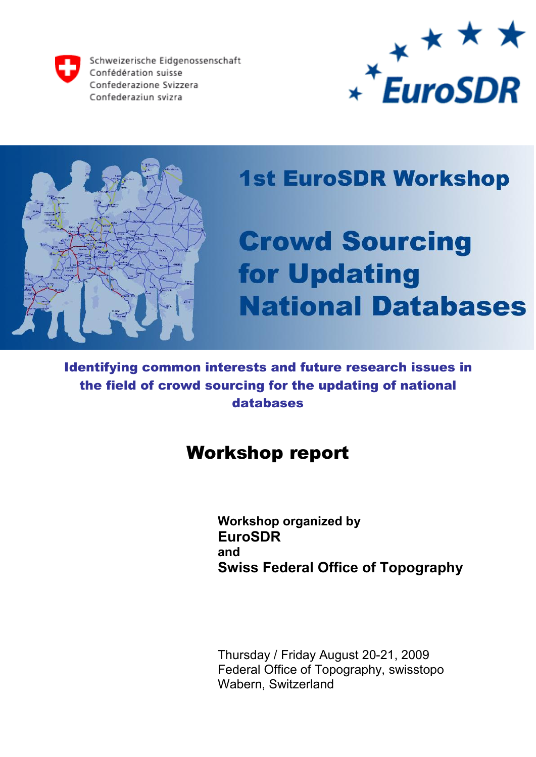Schweizerische Eidgenossenschaft Confédération suisse Confederazione Svizzera Confederaziun svizra





## **1st EuroSDR Workshop**

# **Crowd Sourcing** for Updating **National Databases**

Identifying common interests and future research issues in the field of crowd sourcing for the updating of national databases

## Workshop report

**Workshop organized by EuroSDR and Swiss Federal Office of Topography**

 Thursday / Friday August 20-21, 2009 Federal Office of Topography, swisstopo Wabern, Switzerland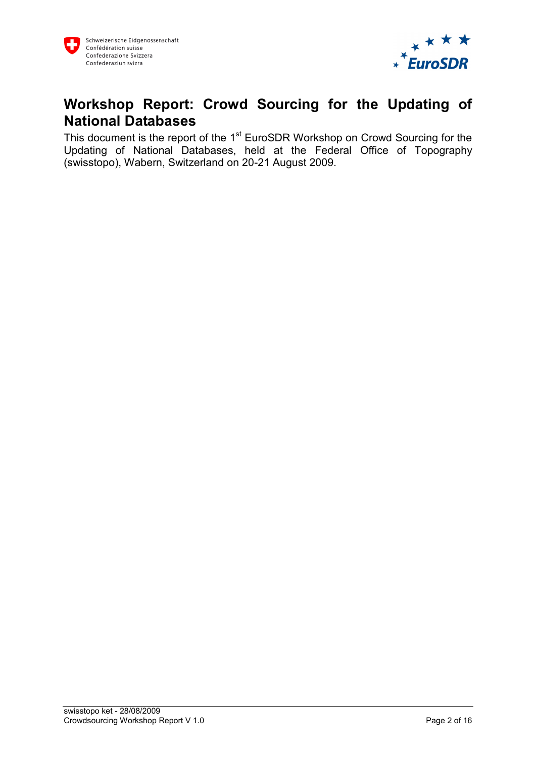

## **Workshop Report: Crowd Sourcing for the Updating of National Databases**

This document is the report of the 1<sup>st</sup> EuroSDR Workshop on Crowd Sourcing for the Updating of National Databases, held at the Federal Office of Topography (swisstopo), Wabern, Switzerland on 20-21 August 2009.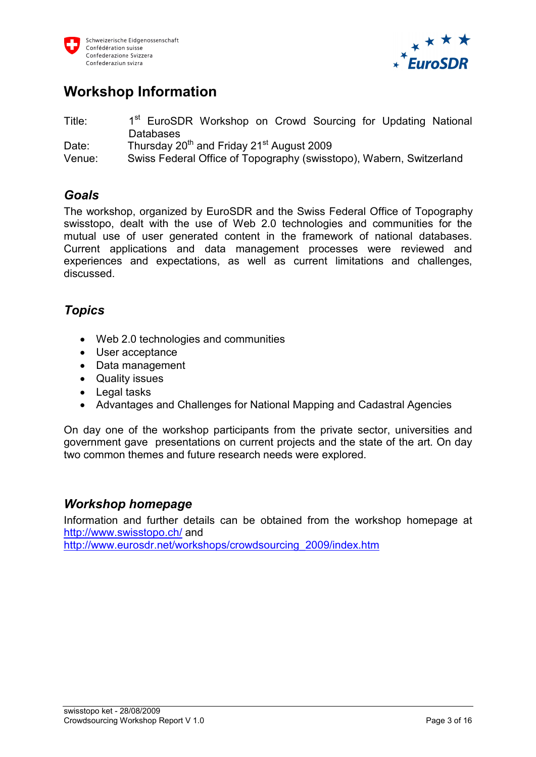



## **Workshop Information**

Title: 1<sup>st</sup> EuroSDR Workshop on Crowd Sourcing for Updating National Databases Date: Thursday 20<sup>th</sup> and Friday 21<sup>st</sup> August 2009 Venue: Swiss Federal Office of Topography (swisstopo), Wabern, Switzerland

#### *Goals*

The workshop, organized by EuroSDR and the Swiss Federal Office of Topography swisstopo, dealt with the use of Web 2.0 technologies and communities for the mutual use of user generated content in the framework of national databases. Current applications and data management processes were reviewed and experiences and expectations, as well as current limitations and challenges, discussed.

#### *Topics*

- · Web 2.0 technologies and communities
- · User acceptance
- · Data management
- · Quality issues
- · Legal tasks
- · Advantages and Challenges for National Mapping and Cadastral Agencies

On day one of the workshop participants from the private sector, universities and government gave presentations on current projects and the state of the art. On day two common themes and future research needs were explored.

#### *Workshop homepage*

Information and further details can be obtained from the workshop homepage at <http://www.swisstopo.ch/> and

[http://www.eurosdr.net/workshops/crowdsourcing\\_2009/index.htm](http://www.eurosdr.net/workshops/crowdsourcing_2009/index.htm)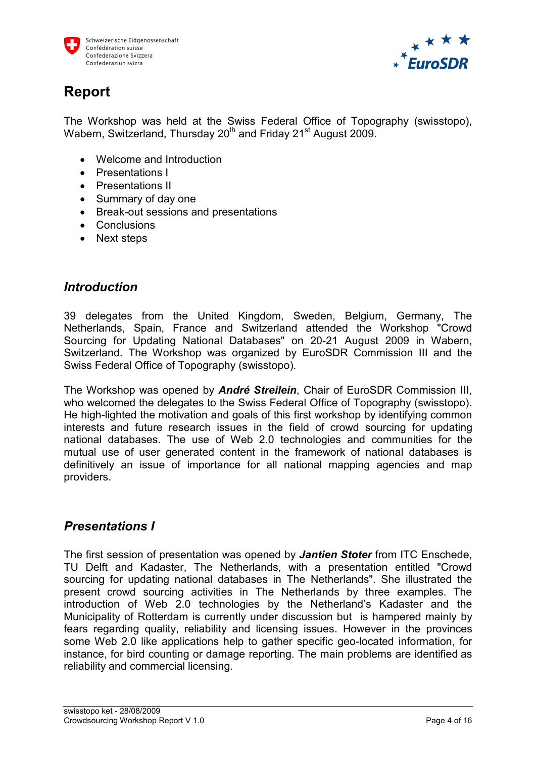



## **Report**

The Workshop was held at the Swiss Federal Office of Topography (swisstopo), Wabern, Switzerland, Thursday 20<sup>th</sup> and Friday 21<sup>st</sup> August 2009.

- · Welcome and Introduction
- · Presentations I
- · Presentations II
- · Summary of day one
- · Break-out sessions and presentations
- · Conclusions
- · Next steps

#### *Introduction*

39 delegates from the United Kingdom, Sweden, Belgium, Germany, The Netherlands, Spain, France and Switzerland attended the Workshop "Crowd Sourcing for Updating National Databases" on 20-21 August 2009 in Wabern, Switzerland. The Workshop was organized by EuroSDR Commission III and the Swiss Federal Office of Topography (swisstopo).

The Workshop was opened by *André Streilein*, Chair of EuroSDR Commission III, who welcomed the delegates to the Swiss Federal Office of Topography (swisstopo). He high-lighted the motivation and goals of this first workshop by identifying common interests and future research issues in the field of crowd sourcing for updating national databases. The use of Web 2.0 technologies and communities for the mutual use of user generated content in the framework of national databases is definitively an issue of importance for all national mapping agencies and map providers.

#### *Presentations I*

The first session of presentation was opened by *Jantien Stoter* from ITC Enschede, TU Delft and Kadaster, The Netherlands, with a presentation entitled "Crowd sourcing for updating national databases in The Netherlands". She illustrated the present crowd sourcing activities in The Netherlands by three examples. The introduction of Web 2.0 technologies by the Netherland's Kadaster and the Municipality of Rotterdam is currently under discussion but is hampered mainly by fears regarding quality, reliability and licensing issues. However in the provinces some Web 2.0 like applications help to gather specific geo-located information, for instance, for bird counting or damage reporting. The main problems are identified as reliability and commercial licensing.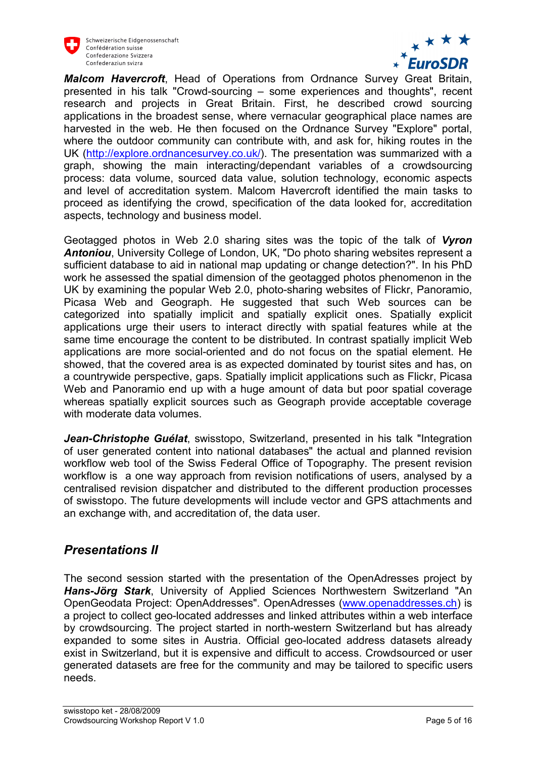



*Malcom Havercroft*, Head of Operations from Ordnance Survey Great Britain, presented in his talk "Crowd-sourcing – some experiences and thoughts", recent research and projects in Great Britain. First, he described crowd sourcing applications in the broadest sense, where vernacular geographical place names are harvested in the web. He then focused on the Ordnance Survey "Explore" portal, where the outdoor community can contribute with, and ask for, hiking routes in the UK [\(http://explore.ordnancesurvey.co.uk/\)](http://explore.ordnancesurvey.co.uk/). The presentation was summarized with a graph, showing the main interacting/dependant variables of a crowdsourcing process: data volume, sourced data value, solution technology, economic aspects and level of accreditation system. Malcom Havercroft identified the main tasks to proceed as identifying the crowd, specification of the data looked for, accreditation aspects, technology and business model.

Geotagged photos in Web 2.0 sharing sites was the topic of the talk of *Vyron Antoniou*, University College of London, UK, "Do photo sharing websites represent a sufficient database to aid in national map updating or change detection?". In his PhD work he assessed the spatial dimension of the geotagged photos phenomenon in the UK by examining the popular Web 2.0, photo-sharing websites of Flickr, Panoramio, Picasa Web and Geograph. He suggested that such Web sources can be categorized into spatially implicit and spatially explicit ones. Spatially explicit applications urge their users to interact directly with spatial features while at the same time encourage the content to be distributed. In contrast spatially implicit Web applications are more social-oriented and do not focus on the spatial element. He showed, that the covered area is as expected dominated by tourist sites and has, on a countrywide perspective, gaps. Spatially implicit applications such as Flickr, Picasa Web and Panoramio end up with a huge amount of data but poor spatial coverage whereas spatially explicit sources such as Geograph provide acceptable coverage with moderate data volumes.

*Jean-Christophe Guélat*, swisstopo, Switzerland, presented in his talk "Integration of user generated content into national databases" the actual and planned revision workflow web tool of the Swiss Federal Office of Topography. The present revision workflow is a one way approach from revision notifications of users, analysed by a centralised revision dispatcher and distributed to the different production processes of swisstopo. The future developments will include vector and GPS attachments and an exchange with, and accreditation of, the data user.

#### *Presentations II*

The second session started with the presentation of the OpenAdresses project by *Hans-Jörg Stark*, University of Applied Sciences Northwestern Switzerland "An OpenGeodata Project: OpenAddresses". OpenAdresses [\(www.openaddresses.ch\)](http://www.openaddresses.ch/) is a project to collect geo-located addresses and linked attributes within a web interface by crowdsourcing. The project started in north-western Switzerland but has already expanded to some sites in Austria. Official geo-located address datasets already exist in Switzerland, but it is expensive and difficult to access. Crowdsourced or user generated datasets are free for the community and may be tailored to specific users needs.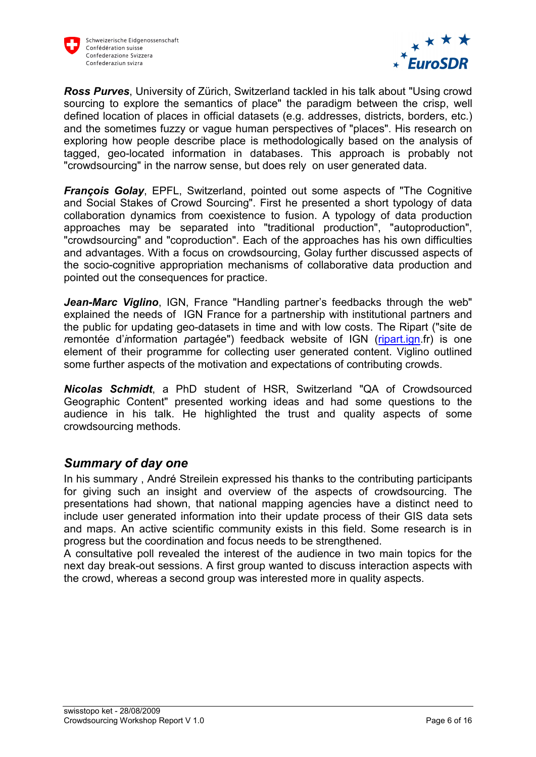



*Ross Purves*, University of Zürich, Switzerland tackled in his talk about "Using crowd sourcing to explore the semantics of place" the paradigm between the crisp, well defined location of places in official datasets (e.g. addresses, districts, borders, etc.) and the sometimes fuzzy or vague human perspectives of "places". His research on exploring how people describe place is methodologically based on the analysis of tagged, geo-located information in databases. This approach is probably not "crowdsourcing" in the narrow sense, but does rely on user generated data.

*François Golay*, EPFL, Switzerland, pointed out some aspects of "The Cognitive and Social Stakes of Crowd Sourcing". First he presented a short typology of data collaboration dynamics from coexistence to fusion. A typology of data production approaches may be separated into "traditional production", "autoproduction", "crowdsourcing" and "coproduction". Each of the approaches has his own difficulties and advantages. With a focus on crowdsourcing, Golay further discussed aspects of the socio-cognitive appropriation mechanisms of collaborative data production and pointed out the consequences for practice.

*Jean-Marc Viglino*, IGN, France "Handling partner's feedbacks through the web" explained the needs of IGN France for a partnership with institutional partners and the public for updating geo-datasets in time and with low costs. The Ripart ("site de *r*emontée d'*i*nformation *p*artagée") feedback website of IGN [\(ripart.ign.](http://www.rat.ign/)fr) is one element of their programme for collecting user generated content. Viglino outlined some further aspects of the motivation and expectations of contributing crowds.

*Nicolas Schmidt*, a PhD student of HSR, Switzerland "QA of Crowdsourced Geographic Content" presented working ideas and had some questions to the audience in his talk. He highlighted the trust and quality aspects of some crowdsourcing methods.

#### *Summary of day one*

In his summary , André Streilein expressed his thanks to the contributing participants for giving such an insight and overview of the aspects of crowdsourcing. The presentations had shown, that national mapping agencies have a distinct need to include user generated information into their update process of their GIS data sets and maps. An active scientific community exists in this field. Some research is in progress but the coordination and focus needs to be strengthened.

A consultative poll revealed the interest of the audience in two main topics for the next day break-out sessions. A first group wanted to discuss interaction aspects with the crowd, whereas a second group was interested more in quality aspects.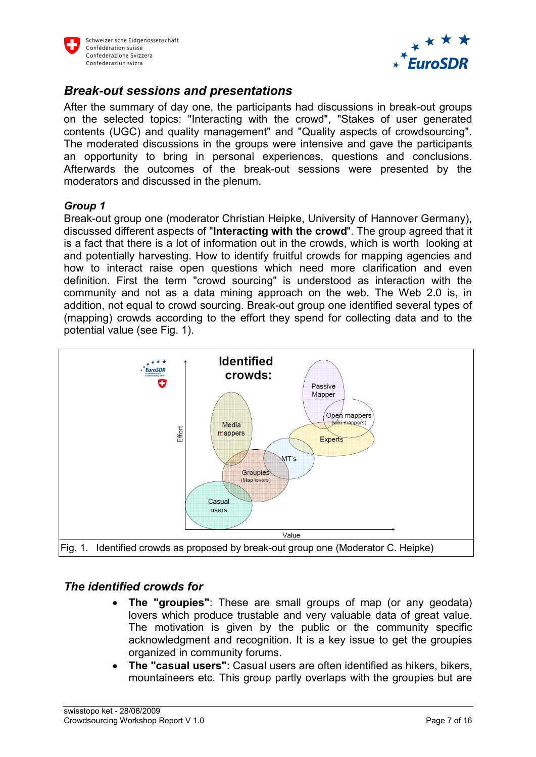



#### *Break-out sessions and presentations*

After the summary of day one, the participants had discussions in break-out groups on the selected topics: "Interacting with the crowd", "Stakes of user generated contents (UGC) and quality management" and "Quality aspects of crowdsourcing". The moderated discussions in the groups were intensive and gave the participants an opportunity to bring in personal experiences, questions and conclusions. Afterwards the outcomes of the break-out sessions were presented by the moderators and discussed in the plenum.

#### *Group 1*

Break-out group one (moderator Christian Heipke, University of Hannover Germany), discussed different aspects of "**Interacting with the crowd**". The group agreed that it is a fact that there is a lot of information out in the crowds, which is worth looking at and potentially harvesting. How to identify fruitful crowds for mapping agencies and how to interact raise open questions which need more clarification and even definition. First the term "crowd sourcing" is understood as interaction with the community and not as a data mining approach on the web. The Web 2.0 is, in addition, not equal to crowd sourcing. Break-out group one identified several types of (mapping) crowds according to the effort they spend for collecting data and to the potential value (see Fig. 1).



#### *The identified crowds for*

- · **The "groupies"**: These are small groups of map (or any geodata) lovers which produce trustable and very valuable data of great value. The motivation is given by the public or the community specific acknowledgment and recognition. It is a key issue to get the groupies organized in community forums.
- · **The "casual users"**: Casual users are often identified as hikers, bikers, mountaineers etc. This group partly overlaps with the groupies but are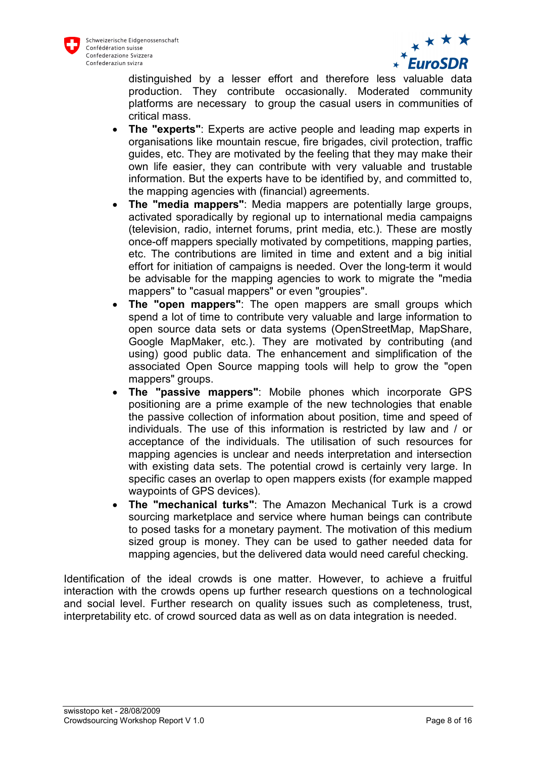



distinguished by a lesser effort and therefore less valuable data production. They contribute occasionally. Moderated community platforms are necessary to group the casual users in communities of critical mass.

- · **The "experts"**: Experts are active people and leading map experts in organisations like mountain rescue, fire brigades, civil protection, traffic guides, etc. They are motivated by the feeling that they may make their own life easier, they can contribute with very valuable and trustable information. But the experts have to be identified by, and committed to, the mapping agencies with (financial) agreements.
- · **The "media mappers"**: Media mappers are potentially large groups, activated sporadically by regional up to international media campaigns (television, radio, internet forums, print media, etc.). These are mostly once-off mappers specially motivated by competitions, mapping parties, etc. The contributions are limited in time and extent and a big initial effort for initiation of campaigns is needed. Over the long-term it would be advisable for the mapping agencies to work to migrate the "media mappers" to "casual mappers" or even "groupies".
- · **The "open mappers"**: The open mappers are small groups which spend a lot of time to contribute very valuable and large information to open source data sets or data systems (OpenStreetMap, MapShare, Google MapMaker, etc.). They are motivated by contributing (and using) good public data. The enhancement and simplification of the associated Open Source mapping tools will help to grow the "open mappers" groups.
- · **The "passive mappers"**: Mobile phones which incorporate GPS positioning are a prime example of the new technologies that enable the passive collection of information about position, time and speed of individuals. The use of this information is restricted by law and / or acceptance of the individuals. The utilisation of such resources for mapping agencies is unclear and needs interpretation and intersection with existing data sets. The potential crowd is certainly very large. In specific cases an overlap to open mappers exists (for example mapped waypoints of GPS devices).
- · **The "mechanical turks"**: The Amazon Mechanical Turk is a crowd sourcing marketplace and service where human beings can contribute to posed tasks for a monetary payment. The motivation of this medium sized group is money. They can be used to gather needed data for mapping agencies, but the delivered data would need careful checking.

Identification of the ideal crowds is one matter. However, to achieve a fruitful interaction with the crowds opens up further research questions on a technological and social level. Further research on quality issues such as completeness, trust, interpretability etc. of crowd sourced data as well as on data integration is needed.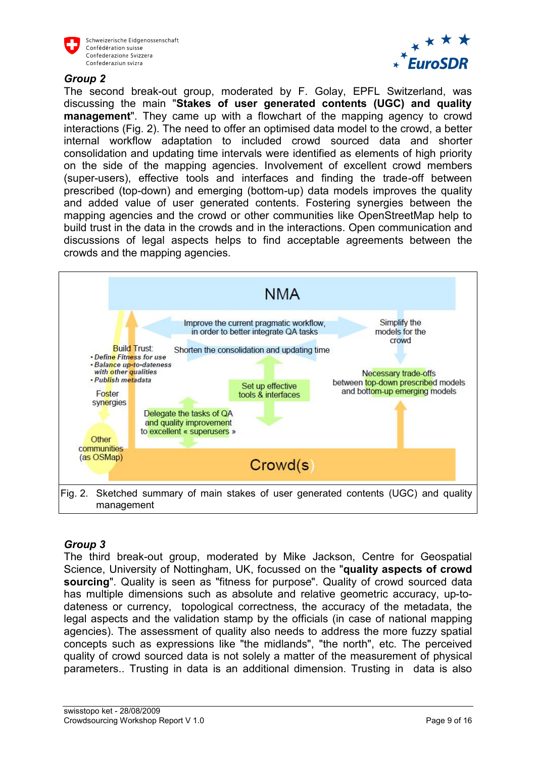



#### *Group 2*

The second break-out group, moderated by F. Golay, EPFL Switzerland, was discussing the main "**Stakes of user generated contents (UGC) and quality management**". They came up with a flowchart of the mapping agency to crowd interactions (Fig. 2). The need to offer an optimised data model to the crowd, a better internal workflow adaptation to included crowd sourced data and shorter consolidation and updating time intervals were identified as elements of high priority on the side of the mapping agencies. Involvement of excellent crowd members (super-users), effective tools and interfaces and finding the trade-off between prescribed (top-down) and emerging (bottom-up) data models improves the quality and added value of user generated contents. Fostering synergies between the mapping agencies and the crowd or other communities like OpenStreetMap help to build trust in the data in the crowds and in the interactions. Open communication and discussions of legal aspects helps to find acceptable agreements between the crowds and the mapping agencies.



#### *Group 3*

The third break-out group, moderated by Mike Jackson, Centre for Geospatial Science, University of Nottingham, UK, focussed on the "**quality aspects of crowd sourcing**". Quality is seen as "fitness for purpose". Quality of crowd sourced data has multiple dimensions such as absolute and relative geometric accuracy, up-todateness or currency, topological correctness, the accuracy of the metadata, the legal aspects and the validation stamp by the officials (in case of national mapping agencies). The assessment of quality also needs to address the more fuzzy spatial concepts such as expressions like "the midlands", "the north", etc. The perceived quality of crowd sourced data is not solely a matter of the measurement of physical parameters.. Trusting in data is an additional dimension. Trusting in data is also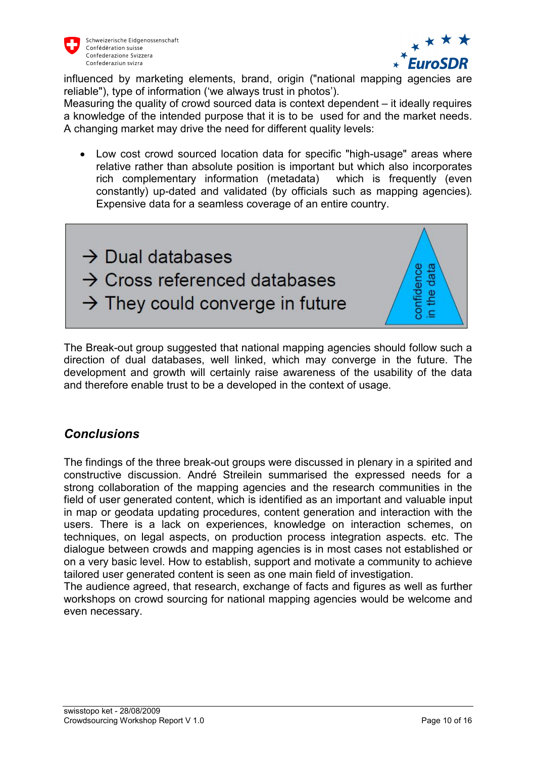



influenced by marketing elements, brand, origin ("national mapping agencies are reliable"), type of information ('we always trust in photos').

Measuring the quality of crowd sourced data is context dependent – it ideally requires a knowledge of the intended purpose that it is to be used for and the market needs. A changing market may drive the need for different quality levels:

· Low cost crowd sourced location data for specific "high-usage" areas where relative rather than absolute position is important but which also incorporates rich complementary information (metadata) which is frequently (even constantly) up-dated and validated (by officials such as mapping agencies). Expensive data for a seamless coverage of an entire country.



The Break-out group suggested that national mapping agencies should follow such a direction of dual databases, well linked, which may converge in the future. The development and growth will certainly raise awareness of the usability of the data and therefore enable trust to be a developed in the context of usage.

#### *Conclusions*

The findings of the three break-out groups were discussed in plenary in a spirited and constructive discussion. André Streilein summarised the expressed needs for a strong collaboration of the mapping agencies and the research communities in the field of user generated content, which is identified as an important and valuable input in map or geodata updating procedures, content generation and interaction with the users. There is a lack on experiences, knowledge on interaction schemes, on techniques, on legal aspects, on production process integration aspects. etc. The dialogue between crowds and mapping agencies is in most cases not established or on a very basic level. How to establish, support and motivate a community to achieve tailored user generated content is seen as one main field of investigation.

The audience agreed, that research, exchange of facts and figures as well as further workshops on crowd sourcing for national mapping agencies would be welcome and even necessary.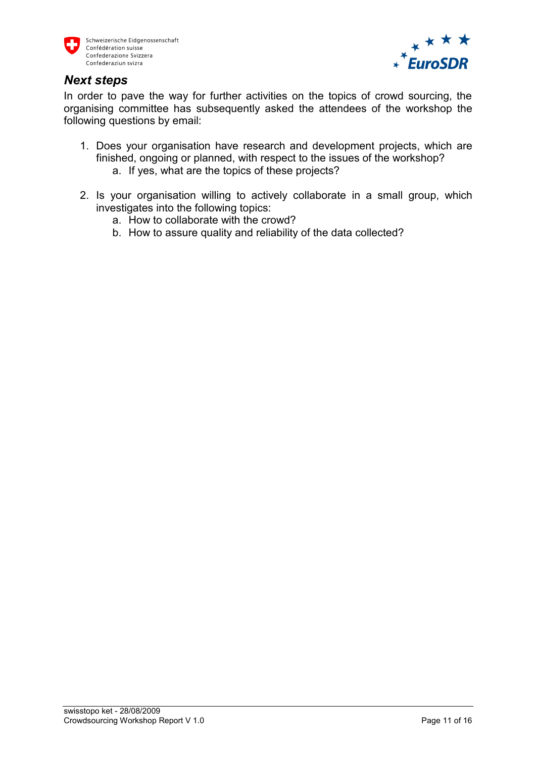



#### *Next steps*

In order to pave the way for further activities on the topics of crowd sourcing, the organising committee has subsequently asked the attendees of the workshop the following questions by email:

- 1. Does your organisation have research and development projects, which are finished, ongoing or planned, with respect to the issues of the workshop? a. If yes, what are the topics of these projects?
- 2. Is your organisation willing to actively collaborate in a small group, which investigates into the following topics:
	- a. How to collaborate with the crowd?
	- b. How to assure quality and reliability of the data collected?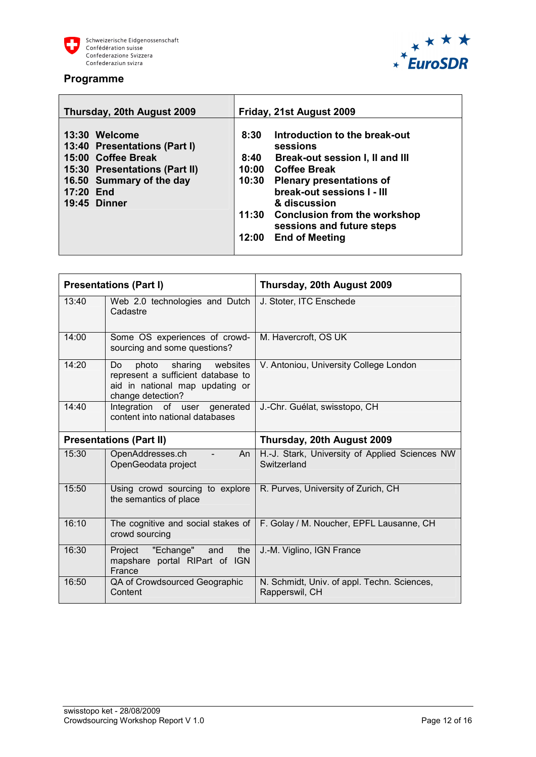





| Thursday, 20th August 2009                                                                                                                                           | Friday, 21st August 2009                                                                                                                                                                                                                                                                                                              |
|----------------------------------------------------------------------------------------------------------------------------------------------------------------------|---------------------------------------------------------------------------------------------------------------------------------------------------------------------------------------------------------------------------------------------------------------------------------------------------------------------------------------|
| 13:30 Welcome<br>13:40 Presentations (Part I)<br>15:00 Coffee Break<br>15:30 Presentations (Part II)<br>16.50 Summary of the day<br>17:20 End<br><b>19:45 Dinner</b> | Introduction to the break-out<br>8:30<br>sessions<br>Break-out session I, II and III<br>8:40<br><b>Coffee Break</b><br>10:00<br>10:30<br><b>Plenary presentations of</b><br>break-out sessions I - III<br>& discussion<br><b>Conclusion from the workshop</b><br>11:30<br>sessions and future steps<br><b>End of Meeting</b><br>12:00 |

|                                | <b>Presentations (Part I)</b>                                                                                              | Thursday, 20th August 2009                                    |
|--------------------------------|----------------------------------------------------------------------------------------------------------------------------|---------------------------------------------------------------|
| 13:40                          | Web 2.0 technologies and Dutch<br>Cadastre                                                                                 | J. Stoter, ITC Enschede                                       |
| 14:00                          | Some OS experiences of crowd-<br>sourcing and some questions?                                                              | M. Havercroft, OS UK                                          |
| 14:20                          | photo sharing websites<br>Do<br>represent a sufficient database to<br>aid in national map updating or<br>change detection? | V. Antoniou, University College London                        |
| 14:40                          | Integration of user generated<br>content into national databases                                                           | J.-Chr. Guélat, swisstopo, CH                                 |
| <b>Presentations (Part II)</b> |                                                                                                                            | Thursday, 20th August 2009                                    |
| 15:30                          | OpenAddresses.ch<br>An<br>OpenGeodata project                                                                              | H.-J. Stark, University of Applied Sciences NW<br>Switzerland |
| 15:50                          | Using crowd sourcing to explore<br>the semantics of place                                                                  | R. Purves, University of Zurich, CH                           |
| 16:10                          | The cognitive and social stakes of<br>crowd sourcing                                                                       | F. Golay / M. Noucher, EPFL Lausanne, CH                      |
| 16:30                          | Project "Echange" and<br>the<br>mapshare portal RIPart of IGN<br>France                                                    | J.-M. Viglino, IGN France                                     |
| 16:50                          | QA of Crowdsourced Geographic<br>Content                                                                                   | N. Schmidt, Univ. of appl. Techn. Sciences,<br>Rapperswil, CH |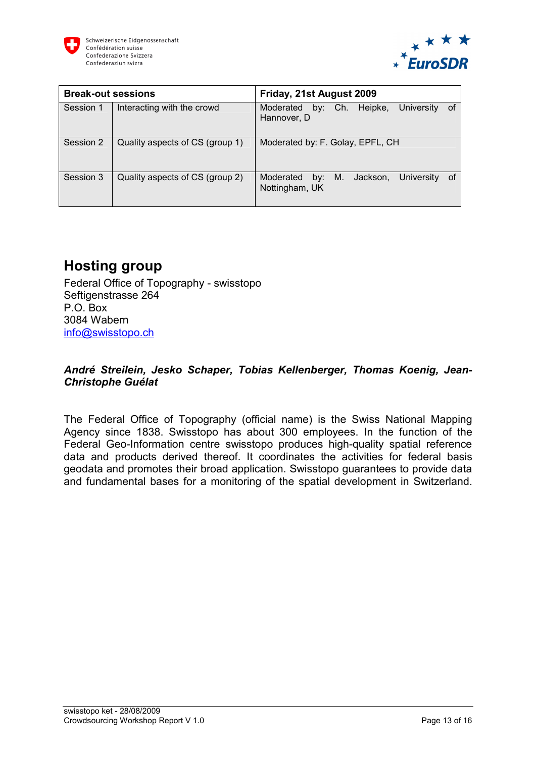



| <b>Break-out sessions</b> |                                 | Friday, 21st August 2009                                                 |
|---------------------------|---------------------------------|--------------------------------------------------------------------------|
| Session 1                 | Interacting with the crowd      | by: Ch. Heipke,<br><b>University</b><br>Moderated<br>of<br>Hannover, D   |
| Session 2                 | Quality aspects of CS (group 1) | Moderated by: F. Golay, EPFL, CH                                         |
| Session 3                 | Quality aspects of CS (group 2) | Moderated<br>Jackson,<br>University<br>0f<br>M.<br>by:<br>Nottingham, UK |

## **Hosting group**

Federal Office of Topography - swisstopo Seftigenstrasse 264 P.O. Box 3084 Wabern [info@swisstopo.ch](mailto:info@swisstopo.ch)

#### *André Streilein, Jesko Schaper, Tobias Kellenberger, Thomas Koenig, Jean-Christophe Guélat*

The Federal Office of Topography (official name) is the Swiss National Mapping Agency since 1838. Swisstopo has about 300 employees. In the function of the Federal Geo-Information centre swisstopo produces high-quality spatial reference data and products derived thereof. It coordinates the activities for federal basis geodata and promotes their broad application. Swisstopo guarantees to provide data and fundamental bases for a monitoring of the spatial development in Switzerland.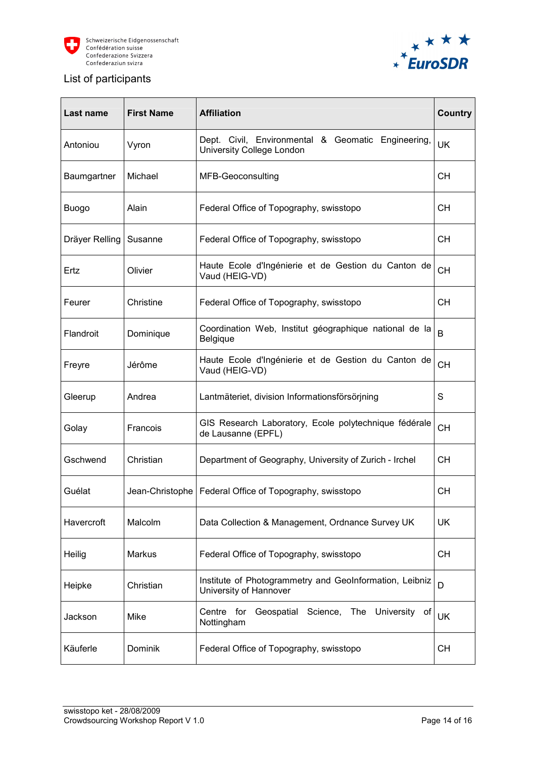



#### List of participants

| Last name      | <b>First Name</b> | <b>Affiliation</b>                                                                | Country   |
|----------------|-------------------|-----------------------------------------------------------------------------------|-----------|
| Antoniou       | Vyron             | Dept. Civil, Environmental & Geomatic Engineering,<br>University College London   | UK        |
| Baumgartner    | Michael           | MFB-Geoconsulting                                                                 | CН        |
| <b>Buogo</b>   | Alain             | Federal Office of Topography, swisstopo                                           | CН        |
| Dräyer Relling | Susanne           | Federal Office of Topography, swisstopo                                           | CН        |
| Ertz           | Olivier           | Haute Ecole d'Ingénierie et de Gestion du Canton de<br>Vaud (HEIG-VD)             | <b>CH</b> |
| Feurer         | Christine         | Federal Office of Topography, swisstopo                                           | CН        |
| Flandroit      | Dominique         | Coordination Web, Institut géographique national de la<br><b>Belgique</b>         | B         |
| Freyre         | Jérôme            | Haute Ecole d'Ingénierie et de Gestion du Canton de<br>Vaud (HEIG-VD)             | <b>CH</b> |
| Gleerup        | Andrea            | Lantmäteriet, division Informationsförsörjning                                    | S         |
| Golay          | Francois          | GIS Research Laboratory, Ecole polytechnique fédérale<br>de Lausanne (EPFL)       | <b>CH</b> |
| Gschwend       | Christian         | Department of Geography, University of Zurich - Irchel                            | CН        |
| Guélat         |                   | Jean-Christophe   Federal Office of Topography, swisstopo                         | <b>CH</b> |
| Havercroft     | Malcolm           | Data Collection & Management, Ordnance Survey UK                                  | UK        |
| Heilig         | <b>Markus</b>     | Federal Office of Topography, swisstopo                                           | CН        |
| Heipke         | Christian         | Institute of Photogrammetry and GeoInformation, Leibniz<br>University of Hannover | D         |
| Jackson        | Mike              | Science,<br>The University<br>Centre<br>for<br>Geospatial<br>0t<br>Nottingham     | UK        |
| Käuferle       | Dominik           | Federal Office of Topography, swisstopo                                           | <b>CH</b> |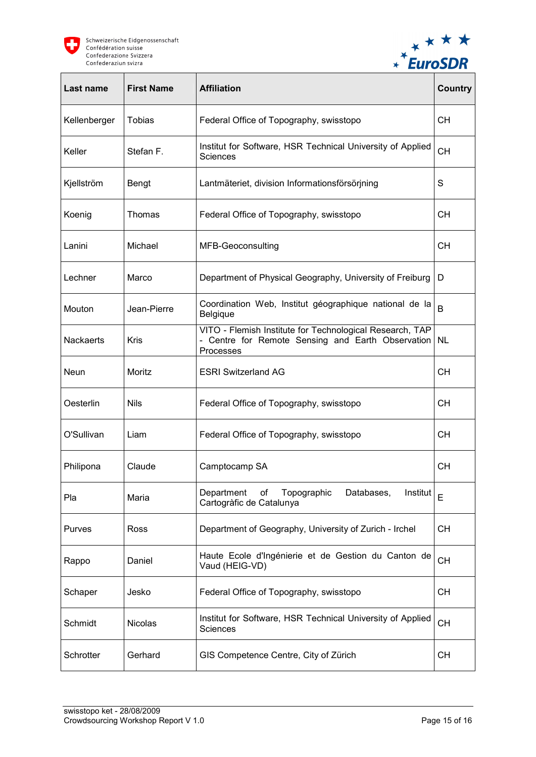



| Last name        | <b>First Name</b> | <b>Affiliation</b>                                                                                                         | <b>Country</b> |
|------------------|-------------------|----------------------------------------------------------------------------------------------------------------------------|----------------|
| Kellenberger     | <b>Tobias</b>     | Federal Office of Topography, swisstopo                                                                                    | CН             |
| Keller           | Stefan F.         | Institut for Software, HSR Technical University of Applied<br>Sciences                                                     | <b>CH</b>      |
| Kjellström       | Bengt             | Lantmäteriet, division Informationsförsörjning                                                                             | S              |
| Koenig           | Thomas            | Federal Office of Topography, swisstopo                                                                                    | CН             |
| Lanini           | Michael           | MFB-Geoconsulting                                                                                                          | CН             |
| Lechner          | Marco             | Department of Physical Geography, University of Freiburg                                                                   | D              |
| Mouton           | Jean-Pierre       | Coordination Web, Institut géographique national de la<br>Belgique                                                         | B              |
| <b>Nackaerts</b> | Kris              | VITO - Flemish Institute for Technological Research, TAP<br>- Centre for Remote Sensing and Earth Observation<br>Processes | <b>NL</b>      |
| Neun             | Moritz            | <b>ESRI Switzerland AG</b>                                                                                                 | <b>CH</b>      |
| Oesterlin        | <b>Nils</b>       | Federal Office of Topography, swisstopo                                                                                    | <b>CH</b>      |
| O'Sullivan       | Liam              | Federal Office of Topography, swisstopo                                                                                    | <b>CH</b>      |
| Philipona        | Claude            | Camptocamp SA                                                                                                              | <b>CH</b>      |
| Pla              | Maria             | Department<br>of<br>Topographic<br>Databases,<br>Institut<br>Cartogràfic de Catalunya                                      | E              |
| Purves           | Ross              | Department of Geography, University of Zurich - Irchel                                                                     | CН             |
| Rappo            | Daniel            | Haute Ecole d'Ingénierie et de Gestion du Canton de<br>Vaud (HEIG-VD)                                                      | <b>CH</b>      |
| Schaper          | Jesko             | Federal Office of Topography, swisstopo                                                                                    | <b>CH</b>      |
| Schmidt          | <b>Nicolas</b>    | Institut for Software, HSR Technical University of Applied<br>Sciences                                                     | <b>CH</b>      |
| Schrotter        | Gerhard           | GIS Competence Centre, City of Zürich                                                                                      | <b>CH</b>      |